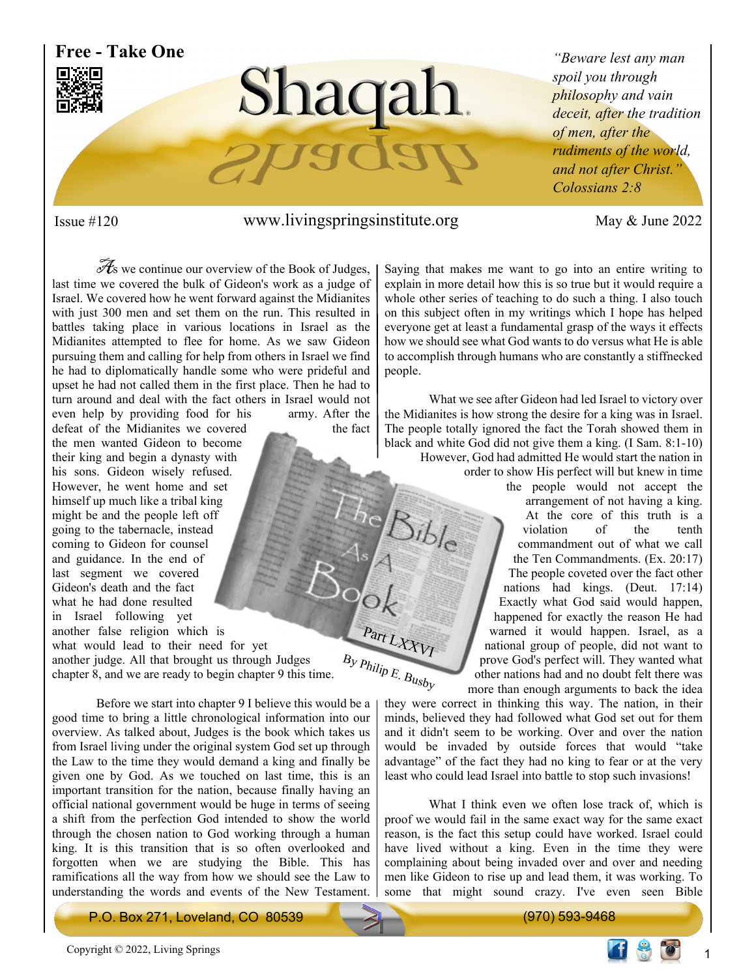

Part LXXVI

 $B<sub>ib</sub>$ 

### Issue #120 www.livingspringsinstitute.org May & June 2022

 $\mathcal{A}_s$  we continue our overview of the Book of Judges, last time we covered the bulk of Gideon's work as a judge of Israel. We covered how he went forward against the Midianites with just 300 men and set them on the run. This resulted in battles taking place in various locations in Israel as the Midianites attempted to flee for home. As we saw Gideon pursuing them and calling for help from others in Israel we find he had to diplomatically handle some who were prideful and upset he had not called them in the first place. Then he had to turn around and deal with the fact others in Israel would not

even help by providing food for his army. After the defeat of the Midianites we covered the fact the men wanted Gideon to become their king and begin a dynasty with his sons. Gideon wisely refused. However, he went home and set himself up much like a tribal king might be and the people left off going to the tabernacle, instead coming to Gideon for counsel and guidance. In the end of last segment we covered Gideon's death and the fact what he had done resulted in Israel following yet another false religion which is what would lead to their need for yet another judge. All that brought us through Judges chapter 8, and we are ready to begin chapter 9 this time.

 Before we start into chapter 9 I believe this would be a good time to bring a little chronological information into our overview. As talked about, Judges is the book which takes us from Israel living under the original system God set up through the Law to the time they would demand a king and finally be given one by God. As we touched on last time, this is an important transition for the nation, because finally having an official national government would be huge in terms of seeing a shift from the perfection God intended to show the world through the chosen nation to God working through a human king. It is this transition that is so often overlooked and forgotten when we are studying the Bible. This has ramifications all the way from how we should see the Law to understanding the words and events of the New Testament. Saying that makes me want to go into an entire writing to explain in more detail how this is so true but it would require a whole other series of teaching to do such a thing. I also touch on this subject often in my writings which I hope has helped everyone get at least a fundamental grasp of the ways it effects how we should see what God wants to do versus what He is able to accomplish through humans who are constantly a stiffnecked people.

 What we see after Gideon had led Israel to victory over the Midianites is how strong the desire for a king was in Israel. The people totally ignored the fact the Torah showed them in black and white God did not give them a king. (I Sam. 8:1-10)

> However, God had admitted He would start the nation in order to show His perfect will but knew in time the people would not accept the arrangement of not having a king. At the core of this truth is a violation of the tenth violation of the commandment out of what we call the Ten Commandments. (Ex. 20:17) The people coveted over the fact other nations had kings. (Deut. 17:14) Exactly what God said would happen, happened for exactly the reason He had warned it would happen. Israel, as a national group of people, did not want to prove God's perfect will. They wanted what other nations had and no doubt felt there was more than enough arguments to back the idea

they were correct in thinking this way. The nation, in their minds, believed they had followed what God set out for them and it didn't seem to be working. Over and over the nation would be invaded by outside forces that would "take advantage" of the fact they had no king to fear or at the very least who could lead Israel into battle to stop such invasions!  $B_y P_{hilip E. B_{usby}}$ 

> What I think even we often lose track of, which is proof we would fail in the same exact way for the same exact reason, is the fact this setup could have worked. Israel could have lived without a king. Even in the time they were complaining about being invaded over and over and needing men like Gideon to rise up and lead them, it was working. To some that might sound crazy. I've even seen Bible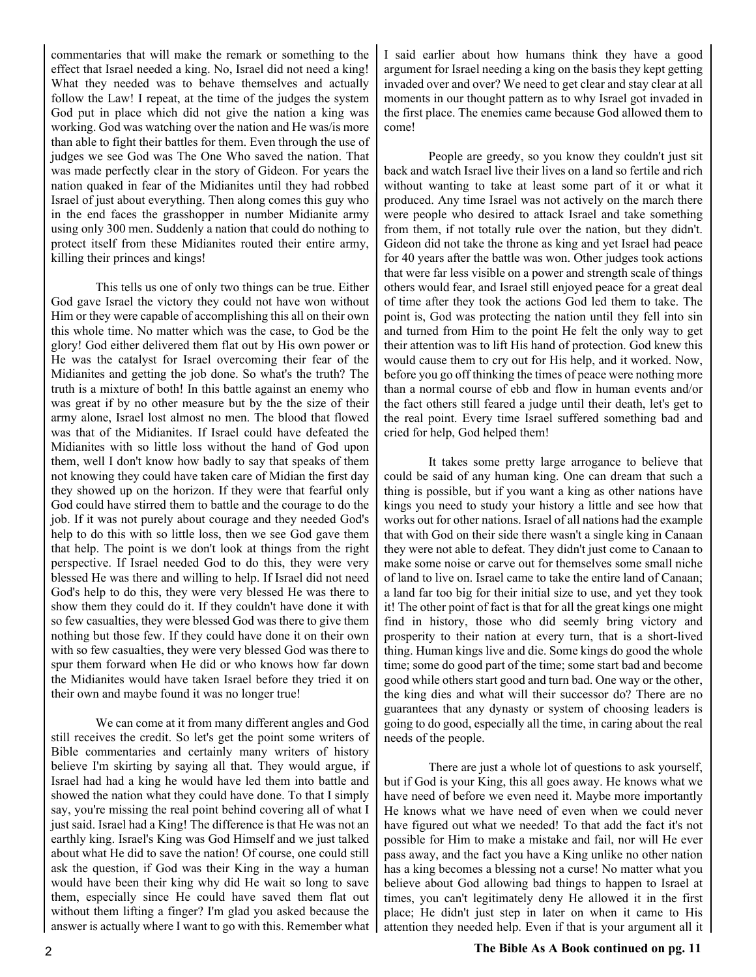commentaries that will make the remark or something to the effect that Israel needed a king. No, Israel did not need a king! What they needed was to behave themselves and actually follow the Law! I repeat, at the time of the judges the system God put in place which did not give the nation a king was working. God was watching over the nation and He was/is more than able to fight their battles for them. Even through the use of judges we see God was The One Who saved the nation. That was made perfectly clear in the story of Gideon. For years the nation quaked in fear of the Midianites until they had robbed Israel of just about everything. Then along comes this guy who in the end faces the grasshopper in number Midianite army using only 300 men. Suddenly a nation that could do nothing to protect itself from these Midianites routed their entire army, killing their princes and kings!

 This tells us one of only two things can be true. Either God gave Israel the victory they could not have won without Him or they were capable of accomplishing this all on their own this whole time. No matter which was the case, to God be the glory! God either delivered them flat out by His own power or He was the catalyst for Israel overcoming their fear of the Midianites and getting the job done. So what's the truth? The truth is a mixture of both! In this battle against an enemy who was great if by no other measure but by the the size of their army alone, Israel lost almost no men. The blood that flowed was that of the Midianites. If Israel could have defeated the Midianites with so little loss without the hand of God upon them, well I don't know how badly to say that speaks of them not knowing they could have taken care of Midian the first day they showed up on the horizon. If they were that fearful only God could have stirred them to battle and the courage to do the job. If it was not purely about courage and they needed God's help to do this with so little loss, then we see God gave them that help. The point is we don't look at things from the right perspective. If Israel needed God to do this, they were very blessed He was there and willing to help. If Israel did not need God's help to do this, they were very blessed He was there to show them they could do it. If they couldn't have done it with so few casualties, they were blessed God was there to give them nothing but those few. If they could have done it on their own with so few casualties, they were very blessed God was there to spur them forward when He did or who knows how far down the Midianites would have taken Israel before they tried it on their own and maybe found it was no longer true!

 We can come at it from many different angles and God still receives the credit. So let's get the point some writers of Bible commentaries and certainly many writers of history believe I'm skirting by saying all that. They would argue, if Israel had had a king he would have led them into battle and showed the nation what they could have done. To that I simply say, you're missing the real point behind covering all of what I just said. Israel had a King! The difference is that He was not an earthly king. Israel's King was God Himself and we just talked about what He did to save the nation! Of course, one could still ask the question, if God was their King in the way a human would have been their king why did He wait so long to save them, especially since He could have saved them flat out without them lifting a finger? I'm glad you asked because the answer is actually where I want to go with this. Remember what I said earlier about how humans think they have a good argument for Israel needing a king on the basis they kept getting invaded over and over? We need to get clear and stay clear at all moments in our thought pattern as to why Israel got invaded in the first place. The enemies came because God allowed them to come!

 People are greedy, so you know they couldn't just sit back and watch Israel live their lives on a land so fertile and rich without wanting to take at least some part of it or what it produced. Any time Israel was not actively on the march there were people who desired to attack Israel and take something from them, if not totally rule over the nation, but they didn't. Gideon did not take the throne as king and yet Israel had peace for 40 years after the battle was won. Other judges took actions that were far less visible on a power and strength scale of things others would fear, and Israel still enjoyed peace for a great deal of time after they took the actions God led them to take. The point is, God was protecting the nation until they fell into sin and turned from Him to the point He felt the only way to get their attention was to lift His hand of protection. God knew this would cause them to cry out for His help, and it worked. Now, before you go off thinking the times of peace were nothing more than a normal course of ebb and flow in human events and/or the fact others still feared a judge until their death, let's get to the real point. Every time Israel suffered something bad and cried for help, God helped them!

 It takes some pretty large arrogance to believe that could be said of any human king. One can dream that such a thing is possible, but if you want a king as other nations have kings you need to study your history a little and see how that works out for other nations. Israel of all nations had the example that with God on their side there wasn't a single king in Canaan they were not able to defeat. They didn't just come to Canaan to make some noise or carve out for themselves some small niche of land to live on. Israel came to take the entire land of Canaan; a land far too big for their initial size to use, and yet they took it! The other point of fact is that for all the great kings one might find in history, those who did seemly bring victory and prosperity to their nation at every turn, that is a short-lived thing. Human kings live and die. Some kings do good the whole time; some do good part of the time; some start bad and become good while others start good and turn bad. One way or the other, the king dies and what will their successor do? There are no guarantees that any dynasty or system of choosing leaders is going to do good, especially all the time, in caring about the real needs of the people.

 There are just a whole lot of questions to ask yourself, but if God is your King, this all goes away. He knows what we have need of before we even need it. Maybe more importantly He knows what we have need of even when we could never have figured out what we needed! To that add the fact it's not possible for Him to make a mistake and fail, nor will He ever pass away, and the fact you have a King unlike no other nation has a king becomes a blessing not a curse! No matter what you believe about God allowing bad things to happen to Israel at times, you can't legitimately deny He allowed it in the first place; He didn't just step in later on when it came to His attention they needed help. Even if that is your argument all it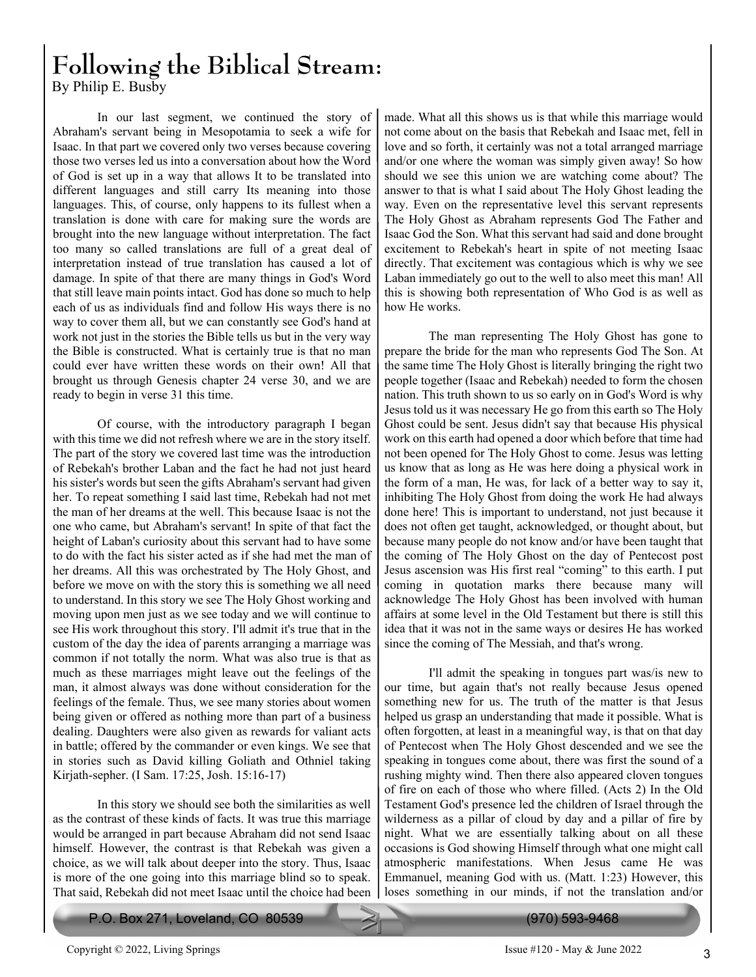## **Following the Biblical Stream:** By Philip E. Busby

 In our last segment, we continued the story of Abraham's servant being in Mesopotamia to seek a wife for Isaac. In that part we covered only two verses because covering those two verses led us into a conversation about how the Word of God is set up in a way that allows It to be translated into different languages and still carry Its meaning into those languages. This, of course, only happens to its fullest when a translation is done with care for making sure the words are brought into the new language without interpretation. The fact too many so called translations are full of a great deal of interpretation instead of true translation has caused a lot of damage. In spite of that there are many things in God's Word that still leave main points intact. God has done so much to help each of us as individuals find and follow His ways there is no way to cover them all, but we can constantly see God's hand at work not just in the stories the Bible tells us but in the very way the Bible is constructed. What is certainly true is that no man could ever have written these words on their own! All that brought us through Genesis chapter 24 verse 30, and we are ready to begin in verse 31 this time.

 Of course, with the introductory paragraph I began with this time we did not refresh where we are in the story itself. The part of the story we covered last time was the introduction of Rebekah's brother Laban and the fact he had not just heard his sister's words but seen the gifts Abraham's servant had given her. To repeat something I said last time, Rebekah had not met the man of her dreams at the well. This because Isaac is not the one who came, but Abraham's servant! In spite of that fact the height of Laban's curiosity about this servant had to have some to do with the fact his sister acted as if she had met the man of her dreams. All this was orchestrated by The Holy Ghost, and before we move on with the story this is something we all need to understand. In this story we see The Holy Ghost working and moving upon men just as we see today and we will continue to see His work throughout this story. I'll admit it's true that in the custom of the day the idea of parents arranging a marriage was common if not totally the norm. What was also true is that as much as these marriages might leave out the feelings of the man, it almost always was done without consideration for the feelings of the female. Thus, we see many stories about women being given or offered as nothing more than part of a business dealing. Daughters were also given as rewards for valiant acts in battle; offered by the commander or even kings. We see that in stories such as David killing Goliath and Othniel taking Kirjath-sepher. (I Sam. 17:25, Josh. 15:16-17)

 In this story we should see both the similarities as well as the contrast of these kinds of facts. It was true this marriage would be arranged in part because Abraham did not send Isaac himself. However, the contrast is that Rebekah was given a choice, as we will talk about deeper into the story. Thus, Isaac is more of the one going into this marriage blind so to speak. That said, Rebekah did not meet Isaac until the choice had been

P.O. Box 271, Loveland, CO 80539 (970) 593-9468

made. What all this shows us is that while this marriage would not come about on the basis that Rebekah and Isaac met, fell in love and so forth, it certainly was not a total arranged marriage and/or one where the woman was simply given away! So how should we see this union we are watching come about? The answer to that is what I said about The Holy Ghost leading the way. Even on the representative level this servant represents The Holy Ghost as Abraham represents God The Father and Isaac God the Son. What this servant had said and done brought excitement to Rebekah's heart in spite of not meeting Isaac directly. That excitement was contagious which is why we see Laban immediately go out to the well to also meet this man! All this is showing both representation of Who God is as well as how He works.

 The man representing The Holy Ghost has gone to prepare the bride for the man who represents God The Son. At the same time The Holy Ghost is literally bringing the right two people together (Isaac and Rebekah) needed to form the chosen nation. This truth shown to us so early on in God's Word is why Jesus told us it was necessary He go from this earth so The Holy Ghost could be sent. Jesus didn't say that because His physical work on this earth had opened a door which before that time had not been opened for The Holy Ghost to come. Jesus was letting us know that as long as He was here doing a physical work in the form of a man, He was, for lack of a better way to say it, inhibiting The Holy Ghost from doing the work He had always done here! This is important to understand, not just because it does not often get taught, acknowledged, or thought about, but because many people do not know and/or have been taught that the coming of The Holy Ghost on the day of Pentecost post Jesus ascension was His first real "coming" to this earth. I put coming in quotation marks there because many will acknowledge The Holy Ghost has been involved with human affairs at some level in the Old Testament but there is still this idea that it was not in the same ways or desires He has worked since the coming of The Messiah, and that's wrong.

 I'll admit the speaking in tongues part was/is new to our time, but again that's not really because Jesus opened something new for us. The truth of the matter is that Jesus helped us grasp an understanding that made it possible. What is often forgotten, at least in a meaningful way, is that on that day of Pentecost when The Holy Ghost descended and we see the speaking in tongues come about, there was first the sound of a rushing mighty wind. Then there also appeared cloven tongues of fire on each of those who where filled. (Acts 2) In the Old Testament God's presence led the children of Israel through the wilderness as a pillar of cloud by day and a pillar of fire by night. What we are essentially talking about on all these occasions is God showing Himself through what one might call atmospheric manifestations. When Jesus came He was Emmanuel, meaning God with us. (Matt. 1:23) However, this loses something in our minds, if not the translation and/or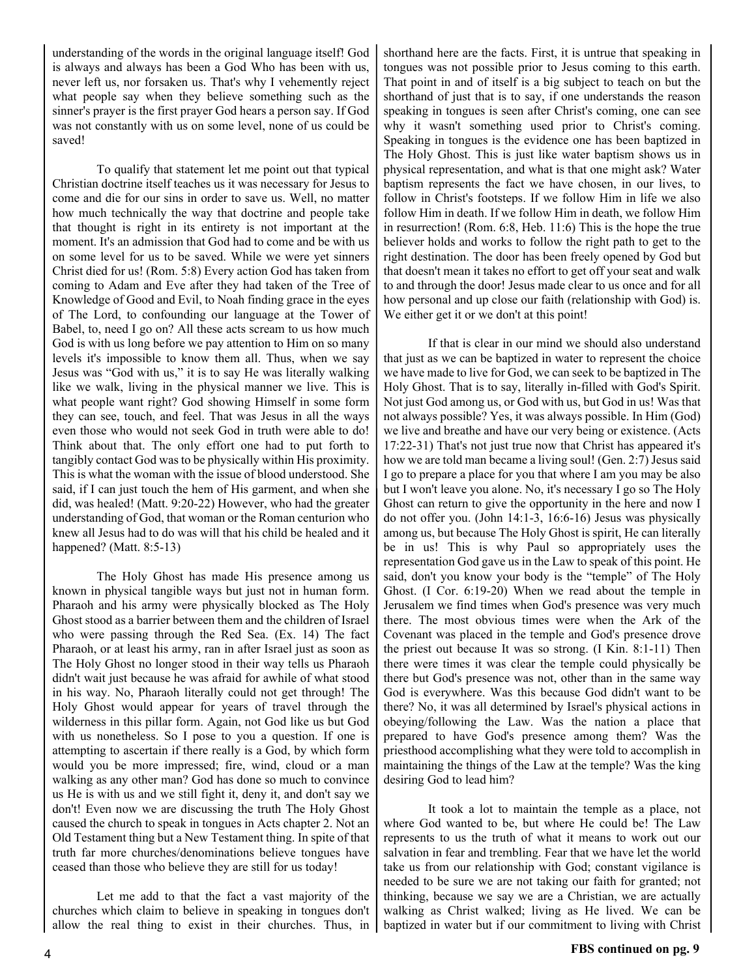understanding of the words in the original language itself! God is always and always has been a God Who has been with us, never left us, nor forsaken us. That's why I vehemently reject what people say when they believe something such as the sinner's prayer is the first prayer God hears a person say. If God was not constantly with us on some level, none of us could be saved!

 To qualify that statement let me point out that typical Christian doctrine itself teaches us it was necessary for Jesus to come and die for our sins in order to save us. Well, no matter how much technically the way that doctrine and people take that thought is right in its entirety is not important at the moment. It's an admission that God had to come and be with us on some level for us to be saved. While we were yet sinners Christ died for us! (Rom. 5:8) Every action God has taken from coming to Adam and Eve after they had taken of the Tree of Knowledge of Good and Evil, to Noah finding grace in the eyes of The Lord, to confounding our language at the Tower of Babel, to, need I go on? All these acts scream to us how much God is with us long before we pay attention to Him on so many levels it's impossible to know them all. Thus, when we say Jesus was "God with us," it is to say He was literally walking like we walk, living in the physical manner we live. This is what people want right? God showing Himself in some form they can see, touch, and feel. That was Jesus in all the ways even those who would not seek God in truth were able to do! Think about that. The only effort one had to put forth to tangibly contact God was to be physically within His proximity. This is what the woman with the issue of blood understood. She said, if I can just touch the hem of His garment, and when she did, was healed! (Matt. 9:20-22) However, who had the greater understanding of God, that woman or the Roman centurion who knew all Jesus had to do was will that his child be healed and it happened? (Matt. 8:5-13)

 The Holy Ghost has made His presence among us known in physical tangible ways but just not in human form. Pharaoh and his army were physically blocked as The Holy Ghost stood as a barrier between them and the children of Israel who were passing through the Red Sea. (Ex. 14) The fact Pharaoh, or at least his army, ran in after Israel just as soon as The Holy Ghost no longer stood in their way tells us Pharaoh didn't wait just because he was afraid for awhile of what stood in his way. No, Pharaoh literally could not get through! The Holy Ghost would appear for years of travel through the wilderness in this pillar form. Again, not God like us but God with us nonetheless. So I pose to you a question. If one is attempting to ascertain if there really is a God, by which form would you be more impressed; fire, wind, cloud or a man walking as any other man? God has done so much to convince us He is with us and we still fight it, deny it, and don't say we don't! Even now we are discussing the truth The Holy Ghost caused the church to speak in tongues in Acts chapter 2. Not an Old Testament thing but a New Testament thing. In spite of that truth far more churches/denominations believe tongues have ceased than those who believe they are still for us today!

 Let me add to that the fact a vast majority of the churches which claim to believe in speaking in tongues don't allow the real thing to exist in their churches. Thus, in shorthand here are the facts. First, it is untrue that speaking in tongues was not possible prior to Jesus coming to this earth. That point in and of itself is a big subject to teach on but the shorthand of just that is to say, if one understands the reason speaking in tongues is seen after Christ's coming, one can see why it wasn't something used prior to Christ's coming. Speaking in tongues is the evidence one has been baptized in The Holy Ghost. This is just like water baptism shows us in physical representation, and what is that one might ask? Water baptism represents the fact we have chosen, in our lives, to follow in Christ's footsteps. If we follow Him in life we also follow Him in death. If we follow Him in death, we follow Him in resurrection! (Rom. 6:8, Heb. 11:6) This is the hope the true believer holds and works to follow the right path to get to the right destination. The door has been freely opened by God but that doesn't mean it takes no effort to get off your seat and walk to and through the door! Jesus made clear to us once and for all how personal and up close our faith (relationship with God) is. We either get it or we don't at this point!

 If that is clear in our mind we should also understand that just as we can be baptized in water to represent the choice we have made to live for God, we can seek to be baptized in The Holy Ghost. That is to say, literally in-filled with God's Spirit. Not just God among us, or God with us, but God in us! Was that not always possible? Yes, it was always possible. In Him (God) we live and breathe and have our very being or existence. (Acts 17:22-31) That's not just true now that Christ has appeared it's how we are told man became a living soul! (Gen. 2:7) Jesus said I go to prepare a place for you that where I am you may be also but I won't leave you alone. No, it's necessary I go so The Holy Ghost can return to give the opportunity in the here and now I do not offer you. (John 14:1-3, 16:6-16) Jesus was physically among us, but because The Holy Ghost is spirit, He can literally be in us! This is why Paul so appropriately uses the representation God gave us in the Law to speak of this point. He said, don't you know your body is the "temple" of The Holy Ghost. (I Cor. 6:19-20) When we read about the temple in Jerusalem we find times when God's presence was very much there. The most obvious times were when the Ark of the Covenant was placed in the temple and God's presence drove the priest out because It was so strong. (I Kin. 8:1-11) Then there were times it was clear the temple could physically be there but God's presence was not, other than in the same way God is everywhere. Was this because God didn't want to be there? No, it was all determined by Israel's physical actions in obeying/following the Law. Was the nation a place that prepared to have God's presence among them? Was the priesthood accomplishing what they were told to accomplish in maintaining the things of the Law at the temple? Was the king desiring God to lead him?

 It took a lot to maintain the temple as a place, not where God wanted to be, but where He could be! The Law represents to us the truth of what it means to work out our salvation in fear and trembling. Fear that we have let the world take us from our relationship with God; constant vigilance is needed to be sure we are not taking our faith for granted; not thinking, because we say we are a Christian, we are actually walking as Christ walked; living as He lived. We can be baptized in water but if our commitment to living with Christ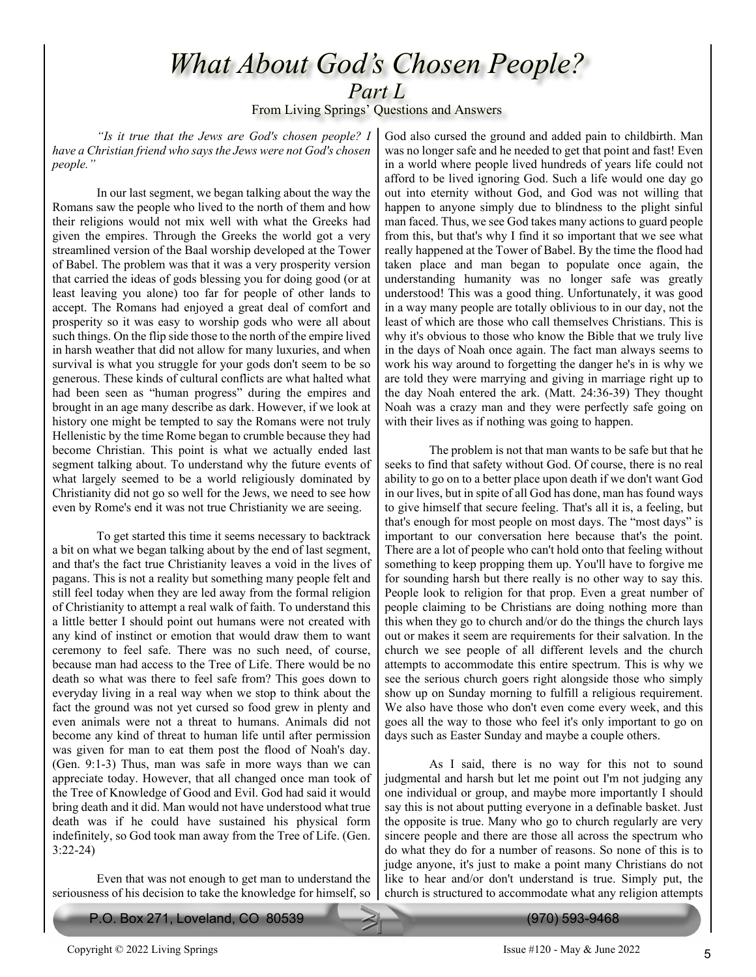# *What About God's Chosen People? Part L*

From Living Springs' Questions and Answers

*"Is it true that the Jews are God's chosen people? I have a Christian friend who says the Jews were not God's chosen people."*

 In our last segment, we began talking about the way the Romans saw the people who lived to the north of them and how their religions would not mix well with what the Greeks had given the empires. Through the Greeks the world got a very streamlined version of the Baal worship developed at the Tower of Babel. The problem was that it was a very prosperity version that carried the ideas of gods blessing you for doing good (or at least leaving you alone) too far for people of other lands to accept. The Romans had enjoyed a great deal of comfort and prosperity so it was easy to worship gods who were all about such things. On the flip side those to the north of the empire lived in harsh weather that did not allow for many luxuries, and when survival is what you struggle for your gods don't seem to be so generous. These kinds of cultural conflicts are what halted what had been seen as "human progress" during the empires and brought in an age many describe as dark. However, if we look at history one might be tempted to say the Romans were not truly Hellenistic by the time Rome began to crumble because they had become Christian. This point is what we actually ended last segment talking about. To understand why the future events of what largely seemed to be a world religiously dominated by Christianity did not go so well for the Jews, we need to see how even by Rome's end it was not true Christianity we are seeing.

 To get started this time it seems necessary to backtrack a bit on what we began talking about by the end of last segment, and that's the fact true Christianity leaves a void in the lives of pagans. This is not a reality but something many people felt and still feel today when they are led away from the formal religion of Christianity to attempt a real walk of faith. To understand this a little better I should point out humans were not created with any kind of instinct or emotion that would draw them to want ceremony to feel safe. There was no such need, of course, because man had access to the Tree of Life. There would be no death so what was there to feel safe from? This goes down to everyday living in a real way when we stop to think about the fact the ground was not yet cursed so food grew in plenty and even animals were not a threat to humans. Animals did not become any kind of threat to human life until after permission was given for man to eat them post the flood of Noah's day. (Gen. 9:1-3) Thus, man was safe in more ways than we can appreciate today. However, that all changed once man took of the Tree of Knowledge of Good and Evil. God had said it would bring death and it did. Man would not have understood what true death was if he could have sustained his physical form indefinitely, so God took man away from the Tree of Life. (Gen. 3:22-24)

 Even that was not enough to get man to understand the seriousness of his decision to take the knowledge for himself, so

P.O. Box 271, Loveland, CO 80539 (970) 593-9468

God also cursed the ground and added pain to childbirth. Man was no longer safe and he needed to get that point and fast! Even in a world where people lived hundreds of years life could not afford to be lived ignoring God. Such a life would one day go out into eternity without God, and God was not willing that happen to anyone simply due to blindness to the plight sinful man faced. Thus, we see God takes many actions to guard people from this, but that's why I find it so important that we see what really happened at the Tower of Babel. By the time the flood had taken place and man began to populate once again, the understanding humanity was no longer safe was greatly understood! This was a good thing. Unfortunately, it was good in a way many people are totally oblivious to in our day, not the least of which are those who call themselves Christians. This is why it's obvious to those who know the Bible that we truly live in the days of Noah once again. The fact man always seems to work his way around to forgetting the danger he's in is why we are told they were marrying and giving in marriage right up to the day Noah entered the ark. (Matt. 24:36-39) They thought Noah was a crazy man and they were perfectly safe going on with their lives as if nothing was going to happen.

 The problem is not that man wants to be safe but that he seeks to find that safety without God. Of course, there is no real ability to go on to a better place upon death if we don't want God in our lives, but in spite of all God has done, man has found ways to give himself that secure feeling. That's all it is, a feeling, but that's enough for most people on most days. The "most days" is important to our conversation here because that's the point. There are a lot of people who can't hold onto that feeling without something to keep propping them up. You'll have to forgive me for sounding harsh but there really is no other way to say this. People look to religion for that prop. Even a great number of people claiming to be Christians are doing nothing more than this when they go to church and/or do the things the church lays out or makes it seem are requirements for their salvation. In the church we see people of all different levels and the church attempts to accommodate this entire spectrum. This is why we see the serious church goers right alongside those who simply show up on Sunday morning to fulfill a religious requirement. We also have those who don't even come every week, and this goes all the way to those who feel it's only important to go on days such as Easter Sunday and maybe a couple others.

 As I said, there is no way for this not to sound judgmental and harsh but let me point out I'm not judging any one individual or group, and maybe more importantly I should say this is not about putting everyone in a definable basket. Just the opposite is true. Many who go to church regularly are very sincere people and there are those all across the spectrum who do what they do for a number of reasons. So none of this is to judge anyone, it's just to make a point many Christians do not like to hear and/or don't understand is true. Simply put, the church is structured to accommodate what any religion attempts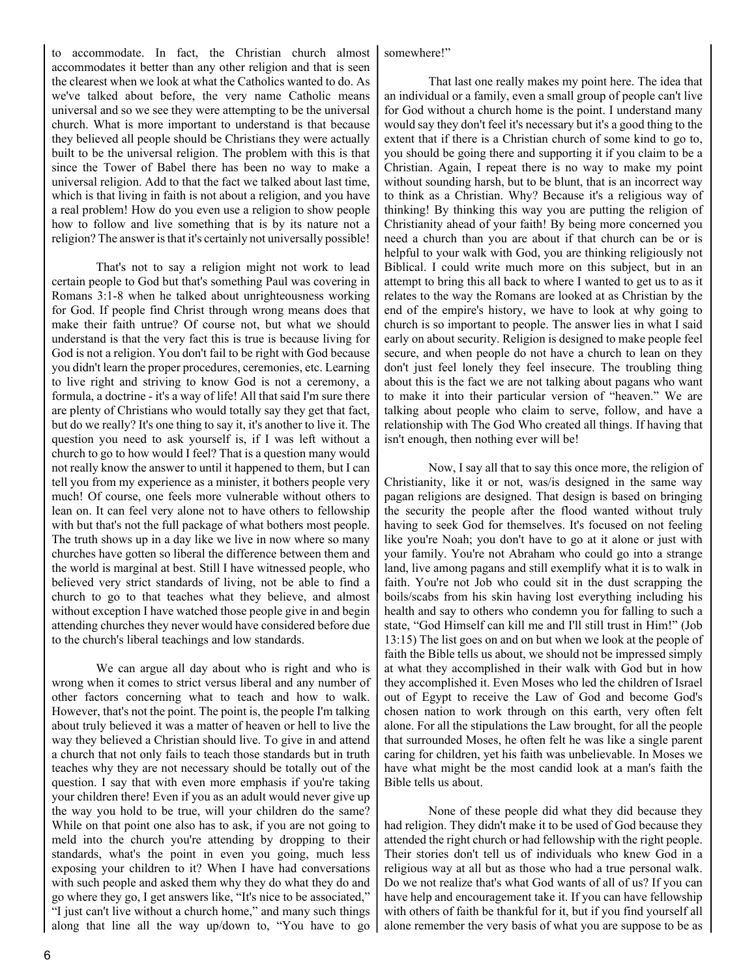to accommodate. In fact, the Christian church almost accommodates it better than any other religion and that is seen the clearest when we look at what the Catholics wanted to do. As we've talked about before, the very name Catholic means universal and so we see they were attempting to be the universal church. What is more important to understand is that because they believed all people should be Christians they were actually built to be the universal religion. The problem with this is that since the Tower of Babel there has been no way to make a universal religion. Add to that the fact we talked about last time, which is that living in faith is not about a religion, and you have a real problem! How do you even use a religion to show people how to follow and live something that is by its nature not a religion? The answer is that it's certainly not universally possible!

 That's not to say a religion might not work to lead certain people to God but that's something Paul was covering in Romans 3:1-8 when he talked about unrighteousness working for God. If people find Christ through wrong means does that make their faith untrue? Of course not, but what we should understand is that the very fact this is true is because living for God is not a religion. You don't fail to be right with God because you didn't learn the proper procedures, ceremonies, etc. Learning to live right and striving to know God is not a ceremony, a formula, a doctrine - it's a way of life! All that said I'm sure there are plenty of Christians who would totally say they get that fact, but do we really? It's one thing to say it, it's another to live it. The question you need to ask yourself is, if I was left without a church to go to how would I feel? That is a question many would not really know the answer to until it happened to them, but I can tell you from my experience as a minister, it bothers people very much! Of course, one feels more vulnerable without others to lean on. It can feel very alone not to have others to fellowship with but that's not the full package of what bothers most people. The truth shows up in a day like we live in now where so many churches have gotten so liberal the difference between them and the world is marginal at best. Still I have witnessed people, who believed very strict standards of living, not be able to find a church to go to that teaches what they believe, and almost without exception I have watched those people give in and begin attending churches they never would have considered before due to the church's liberal teachings and low standards.

 We can argue all day about who is right and who is wrong when it comes to strict versus liberal and any number of other factors concerning what to teach and how to walk. However, that's not the point. The point is, the people I'm talking about truly believed it was a matter of heaven or hell to live the way they believed a Christian should live. To give in and attend a church that not only fails to teach those standards but in truth teaches why they are not necessary should be totally out of the question. I say that with even more emphasis if you're taking your children there! Even if you as an adult would never give up the way you hold to be true, will your children do the same? While on that point one also has to ask, if you are not going to meld into the church you're attending by dropping to their standards, what's the point in even you going, much less exposing your children to it? When I have had conversations with such people and asked them why they do what they do and go where they go, I get answers like, "It's nice to be associated," "I just can't live without a church home," and many such things along that line all the way up/down to, "You have to go

#### somewhere!"

 That last one really makes my point here. The idea that an individual or a family, even a small group of people can't live for God without a church home is the point. I understand many would say they don't feel it's necessary but it's a good thing to the extent that if there is a Christian church of some kind to go to, you should be going there and supporting it if you claim to be a Christian. Again, I repeat there is no way to make my point without sounding harsh, but to be blunt, that is an incorrect way to think as a Christian. Why? Because it's a religious way of thinking! By thinking this way you are putting the religion of Christianity ahead of your faith! By being more concerned you need a church than you are about if that church can be or is helpful to your walk with God, you are thinking religiously not Biblical. I could write much more on this subject, but in an attempt to bring this all back to where I wanted to get us to as it relates to the way the Romans are looked at as Christian by the end of the empire's history, we have to look at why going to church is so important to people. The answer lies in what I said early on about security. Religion is designed to make people feel secure, and when people do not have a church to lean on they don't just feel lonely they feel insecure. The troubling thing about this is the fact we are not talking about pagans who want to make it into their particular version of "heaven." We are talking about people who claim to serve, follow, and have a relationship with The God Who created all things. If having that isn't enough, then nothing ever will be!

 Now, I say all that to say this once more, the religion of Christianity, like it or not, was/is designed in the same way pagan religions are designed. That design is based on bringing the security the people after the flood wanted without truly having to seek God for themselves. It's focused on not feeling like you're Noah; you don't have to go at it alone or just with your family. You're not Abraham who could go into a strange land, live among pagans and still exemplify what it is to walk in faith. You're not Job who could sit in the dust scrapping the boils/scabs from his skin having lost everything including his health and say to others who condemn you for falling to such a state, "God Himself can kill me and I'll still trust in Him!" (Job 13:15) The list goes on and on but when we look at the people of faith the Bible tells us about, we should not be impressed simply at what they accomplished in their walk with God but in how they accomplished it. Even Moses who led the children of Israel out of Egypt to receive the Law of God and become God's chosen nation to work through on this earth, very often felt alone. For all the stipulations the Law brought, for all the people that surrounded Moses, he often felt he was like a single parent caring for children, yet his faith was unbelievable. In Moses we have what might be the most candid look at a man's faith the Bible tells us about.

 None of these people did what they did because they had religion. They didn't make it to be used of God because they attended the right church or had fellowship with the right people. Their stories don't tell us of individuals who knew God in a religious way at all but as those who had a true personal walk. Do we not realize that's what God wants of all of us? If you can have help and encouragement take it. If you can have fellowship with others of faith be thankful for it, but if you find yourself all alone remember the very basis of what you are suppose to be as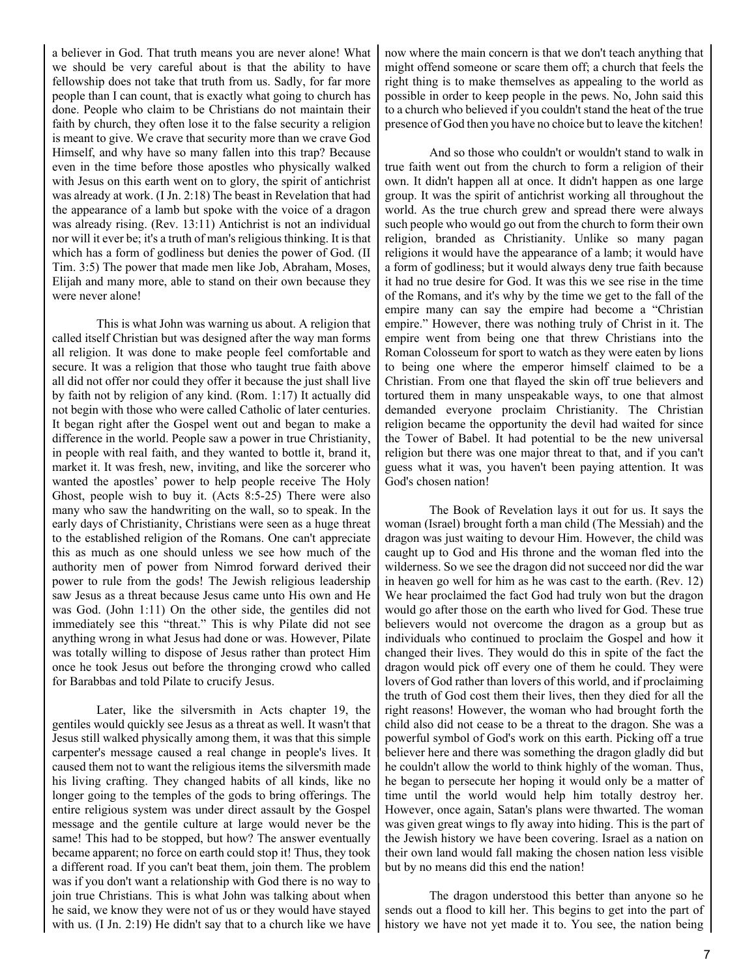a believer in God. That truth means you are never alone! What we should be very careful about is that the ability to have fellowship does not take that truth from us. Sadly, for far more people than I can count, that is exactly what going to church has done. People who claim to be Christians do not maintain their faith by church, they often lose it to the false security a religion is meant to give. We crave that security more than we crave God Himself, and why have so many fallen into this trap? Because even in the time before those apostles who physically walked with Jesus on this earth went on to glory, the spirit of antichrist was already at work. (I Jn. 2:18) The beast in Revelation that had the appearance of a lamb but spoke with the voice of a dragon was already rising. (Rev. 13:11) Antichrist is not an individual nor will it ever be; it's a truth of man's religious thinking. It is that which has a form of godliness but denies the power of God. (II Tim. 3:5) The power that made men like Job, Abraham, Moses, Elijah and many more, able to stand on their own because they were never alone!

 This is what John was warning us about. A religion that called itself Christian but was designed after the way man forms all religion. It was done to make people feel comfortable and secure. It was a religion that those who taught true faith above all did not offer nor could they offer it because the just shall live by faith not by religion of any kind. (Rom. 1:17) It actually did not begin with those who were called Catholic of later centuries. It began right after the Gospel went out and began to make a difference in the world. People saw a power in true Christianity, in people with real faith, and they wanted to bottle it, brand it, market it. It was fresh, new, inviting, and like the sorcerer who wanted the apostles' power to help people receive The Holy Ghost, people wish to buy it. (Acts 8:5-25) There were also many who saw the handwriting on the wall, so to speak. In the early days of Christianity, Christians were seen as a huge threat to the established religion of the Romans. One can't appreciate this as much as one should unless we see how much of the authority men of power from Nimrod forward derived their power to rule from the gods! The Jewish religious leadership saw Jesus as a threat because Jesus came unto His own and He was God. (John 1:11) On the other side, the gentiles did not immediately see this "threat." This is why Pilate did not see anything wrong in what Jesus had done or was. However, Pilate was totally willing to dispose of Jesus rather than protect Him once he took Jesus out before the thronging crowd who called for Barabbas and told Pilate to crucify Jesus.

 Later, like the silversmith in Acts chapter 19, the gentiles would quickly see Jesus as a threat as well. It wasn't that Jesus still walked physically among them, it was that this simple carpenter's message caused a real change in people's lives. It caused them not to want the religious items the silversmith made his living crafting. They changed habits of all kinds, like no longer going to the temples of the gods to bring offerings. The entire religious system was under direct assault by the Gospel message and the gentile culture at large would never be the same! This had to be stopped, but how? The answer eventually became apparent; no force on earth could stop it! Thus, they took a different road. If you can't beat them, join them. The problem was if you don't want a relationship with God there is no way to join true Christians. This is what John was talking about when he said, we know they were not of us or they would have stayed with us. (I Jn. 2:19) He didn't say that to a church like we have now where the main concern is that we don't teach anything that might offend someone or scare them off; a church that feels the right thing is to make themselves as appealing to the world as possible in order to keep people in the pews. No, John said this to a church who believed if you couldn't stand the heat of the true presence of God then you have no choice but to leave the kitchen!

 And so those who couldn't or wouldn't stand to walk in true faith went out from the church to form a religion of their own. It didn't happen all at once. It didn't happen as one large group. It was the spirit of antichrist working all throughout the world. As the true church grew and spread there were always such people who would go out from the church to form their own religion, branded as Christianity. Unlike so many pagan religions it would have the appearance of a lamb; it would have a form of godliness; but it would always deny true faith because it had no true desire for God. It was this we see rise in the time of the Romans, and it's why by the time we get to the fall of the empire many can say the empire had become a "Christian empire." However, there was nothing truly of Christ in it. The empire went from being one that threw Christians into the Roman Colosseum for sport to watch as they were eaten by lions to being one where the emperor himself claimed to be a Christian. From one that flayed the skin off true believers and tortured them in many unspeakable ways, to one that almost demanded everyone proclaim Christianity. The Christian religion became the opportunity the devil had waited for since the Tower of Babel. It had potential to be the new universal religion but there was one major threat to that, and if you can't guess what it was, you haven't been paying attention. It was God's chosen nation!

 The Book of Revelation lays it out for us. It says the woman (Israel) brought forth a man child (The Messiah) and the dragon was just waiting to devour Him. However, the child was caught up to God and His throne and the woman fled into the wilderness. So we see the dragon did not succeed nor did the war in heaven go well for him as he was cast to the earth. (Rev. 12) We hear proclaimed the fact God had truly won but the dragon would go after those on the earth who lived for God. These true believers would not overcome the dragon as a group but as individuals who continued to proclaim the Gospel and how it changed their lives. They would do this in spite of the fact the dragon would pick off every one of them he could. They were lovers of God rather than lovers of this world, and if proclaiming the truth of God cost them their lives, then they died for all the right reasons! However, the woman who had brought forth the child also did not cease to be a threat to the dragon. She was a powerful symbol of God's work on this earth. Picking off a true believer here and there was something the dragon gladly did but he couldn't allow the world to think highly of the woman. Thus, he began to persecute her hoping it would only be a matter of time until the world would help him totally destroy her. However, once again, Satan's plans were thwarted. The woman was given great wings to fly away into hiding. This is the part of the Jewish history we have been covering. Israel as a nation on their own land would fall making the chosen nation less visible but by no means did this end the nation!

 The dragon understood this better than anyone so he sends out a flood to kill her. This begins to get into the part of history we have not yet made it to. You see, the nation being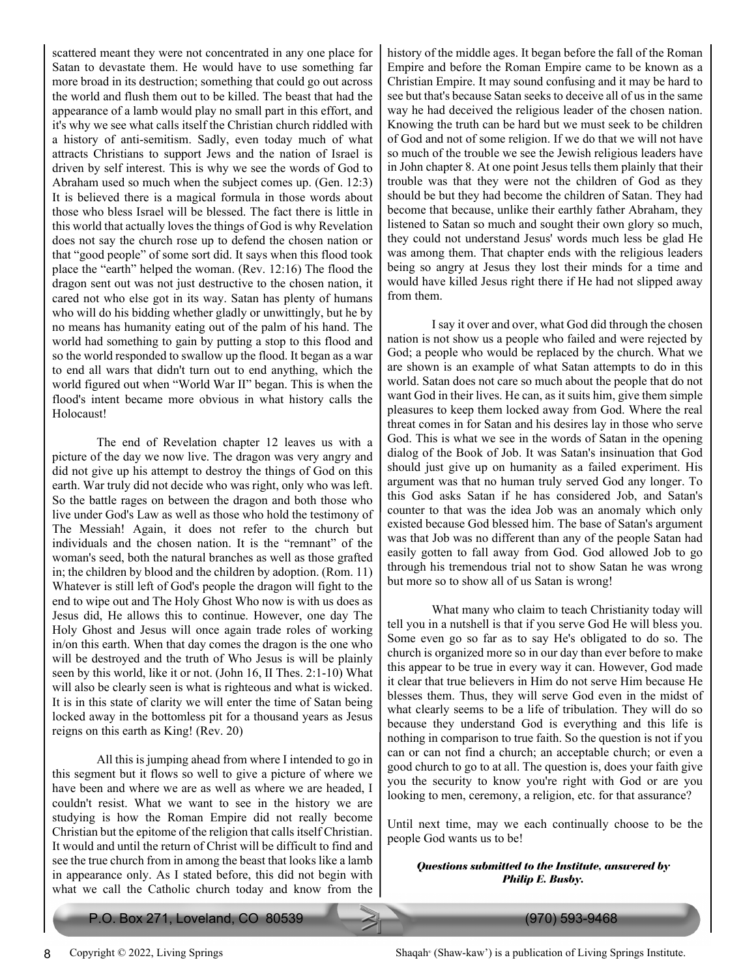scattered meant they were not concentrated in any one place for Satan to devastate them. He would have to use something far more broad in its destruction; something that could go out across the world and flush them out to be killed. The beast that had the appearance of a lamb would play no small part in this effort, and it's why we see what calls itself the Christian church riddled with a history of anti-semitism. Sadly, even today much of what attracts Christians to support Jews and the nation of Israel is driven by self interest. This is why we see the words of God to Abraham used so much when the subject comes up. (Gen. 12:3) It is believed there is a magical formula in those words about those who bless Israel will be blessed. The fact there is little in this world that actually loves the things of God is why Revelation does not say the church rose up to defend the chosen nation or that "good people" of some sort did. It says when this flood took place the "earth" helped the woman. (Rev. 12:16) The flood the dragon sent out was not just destructive to the chosen nation, it cared not who else got in its way. Satan has plenty of humans who will do his bidding whether gladly or unwittingly, but he by no means has humanity eating out of the palm of his hand. The world had something to gain by putting a stop to this flood and so the world responded to swallow up the flood. It began as a war to end all wars that didn't turn out to end anything, which the world figured out when "World War II" began. This is when the flood's intent became more obvious in what history calls the Holocaust!

 The end of Revelation chapter 12 leaves us with a picture of the day we now live. The dragon was very angry and did not give up his attempt to destroy the things of God on this earth. War truly did not decide who was right, only who was left. So the battle rages on between the dragon and both those who live under God's Law as well as those who hold the testimony of The Messiah! Again, it does not refer to the church but individuals and the chosen nation. It is the "remnant" of the woman's seed, both the natural branches as well as those grafted in; the children by blood and the children by adoption. (Rom. 11) Whatever is still left of God's people the dragon will fight to the end to wipe out and The Holy Ghost Who now is with us does as Jesus did, He allows this to continue. However, one day The Holy Ghost and Jesus will once again trade roles of working in/on this earth. When that day comes the dragon is the one who will be destroyed and the truth of Who Jesus is will be plainly seen by this world, like it or not. (John 16, II Thes. 2:1-10) What will also be clearly seen is what is righteous and what is wicked. It is in this state of clarity we will enter the time of Satan being locked away in the bottomless pit for a thousand years as Jesus reigns on this earth as King! (Rev. 20)

 All this is jumping ahead from where I intended to go in this segment but it flows so well to give a picture of where we have been and where we are as well as where we are headed, I couldn't resist. What we want to see in the history we are studying is how the Roman Empire did not really become Christian but the epitome of the religion that calls itself Christian. It would and until the return of Christ will be difficult to find and see the true church from in among the beast that looks like a lamb in appearance only. As I stated before, this did not begin with what we call the Catholic church today and know from the

history of the middle ages. It began before the fall of the Roman Empire and before the Roman Empire came to be known as a Christian Empire. It may sound confusing and it may be hard to see but that's because Satan seeks to deceive all of us in the same way he had deceived the religious leader of the chosen nation. Knowing the truth can be hard but we must seek to be children of God and not of some religion. If we do that we will not have so much of the trouble we see the Jewish religious leaders have in John chapter 8. At one point Jesus tells them plainly that their trouble was that they were not the children of God as they should be but they had become the children of Satan. They had become that because, unlike their earthly father Abraham, they listened to Satan so much and sought their own glory so much, they could not understand Jesus' words much less be glad He was among them. That chapter ends with the religious leaders being so angry at Jesus they lost their minds for a time and would have killed Jesus right there if He had not slipped away from them.

 I say it over and over, what God did through the chosen nation is not show us a people who failed and were rejected by God; a people who would be replaced by the church. What we are shown is an example of what Satan attempts to do in this world. Satan does not care so much about the people that do not want God in their lives. He can, as it suits him, give them simple pleasures to keep them locked away from God. Where the real threat comes in for Satan and his desires lay in those who serve God. This is what we see in the words of Satan in the opening dialog of the Book of Job. It was Satan's insinuation that God should just give up on humanity as a failed experiment. His argument was that no human truly served God any longer. To this God asks Satan if he has considered Job, and Satan's counter to that was the idea Job was an anomaly which only existed because God blessed him. The base of Satan's argument was that Job was no different than any of the people Satan had easily gotten to fall away from God. God allowed Job to go through his tremendous trial not to show Satan he was wrong but more so to show all of us Satan is wrong!

 What many who claim to teach Christianity today will tell you in a nutshell is that if you serve God He will bless you. Some even go so far as to say He's obligated to do so. The church is organized more so in our day than ever before to make this appear to be true in every way it can. However, God made it clear that true believers in Him do not serve Him because He blesses them. Thus, they will serve God even in the midst of what clearly seems to be a life of tribulation. They will do so because they understand God is everything and this life is nothing in comparison to true faith. So the question is not if you can or can not find a church; an acceptable church; or even a good church to go to at all. The question is, does your faith give you the security to know you're right with God or are you looking to men, ceremony, a religion, etc. for that assurance?

Until next time, may we each continually choose to be the people God wants us to be!

#### *Questions submitted to the Institute, answered by Philip E. Busby.*

(Shaw-kaw') is a publication of Living Springs Institute.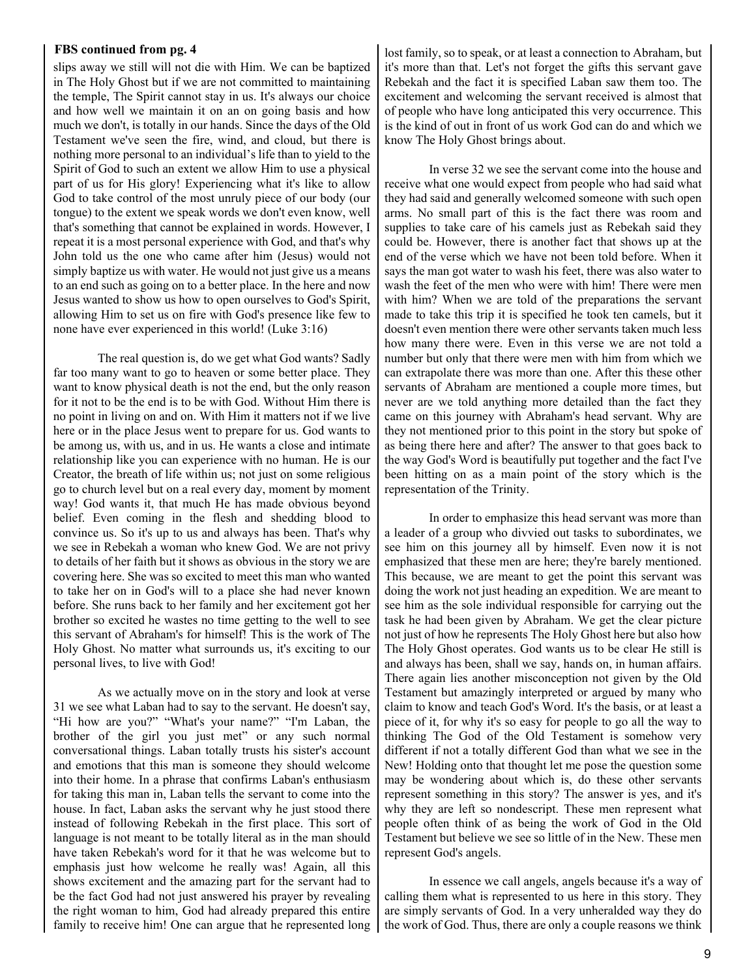#### **FBS continued from pg. 4**

slips away we still will not die with Him. We can be baptized in The Holy Ghost but if we are not committed to maintaining the temple, The Spirit cannot stay in us. It's always our choice and how well we maintain it on an on going basis and how much we don't, is totally in our hands. Since the days of the Old Testament we've seen the fire, wind, and cloud, but there is nothing more personal to an individual's life than to yield to the Spirit of God to such an extent we allow Him to use a physical part of us for His glory! Experiencing what it's like to allow God to take control of the most unruly piece of our body (our tongue) to the extent we speak words we don't even know, well that's something that cannot be explained in words. However, I repeat it is a most personal experience with God, and that's why John told us the one who came after him (Jesus) would not simply baptize us with water. He would not just give us a means to an end such as going on to a better place. In the here and now Jesus wanted to show us how to open ourselves to God's Spirit, allowing Him to set us on fire with God's presence like few to none have ever experienced in this world! (Luke 3:16)

 The real question is, do we get what God wants? Sadly far too many want to go to heaven or some better place. They want to know physical death is not the end, but the only reason for it not to be the end is to be with God. Without Him there is no point in living on and on. With Him it matters not if we live here or in the place Jesus went to prepare for us. God wants to be among us, with us, and in us. He wants a close and intimate relationship like you can experience with no human. He is our Creator, the breath of life within us; not just on some religious go to church level but on a real every day, moment by moment way! God wants it, that much He has made obvious beyond belief. Even coming in the flesh and shedding blood to convince us. So it's up to us and always has been. That's why we see in Rebekah a woman who knew God. We are not privy to details of her faith but it shows as obvious in the story we are covering here. She was so excited to meet this man who wanted to take her on in God's will to a place she had never known before. She runs back to her family and her excitement got her brother so excited he wastes no time getting to the well to see this servant of Abraham's for himself! This is the work of The Holy Ghost. No matter what surrounds us, it's exciting to our personal lives, to live with God!

 As we actually move on in the story and look at verse 31 we see what Laban had to say to the servant. He doesn't say, "Hi how are you?" "What's your name?" "I'm Laban, the brother of the girl you just met" or any such normal conversational things. Laban totally trusts his sister's account and emotions that this man is someone they should welcome into their home. In a phrase that confirms Laban's enthusiasm for taking this man in, Laban tells the servant to come into the house. In fact, Laban asks the servant why he just stood there instead of following Rebekah in the first place. This sort of language is not meant to be totally literal as in the man should have taken Rebekah's word for it that he was welcome but to emphasis just how welcome he really was! Again, all this shows excitement and the amazing part for the servant had to be the fact God had not just answered his prayer by revealing the right woman to him, God had already prepared this entire family to receive him! One can argue that he represented long

lost family, so to speak, or at least a connection to Abraham, but it's more than that. Let's not forget the gifts this servant gave Rebekah and the fact it is specified Laban saw them too. The excitement and welcoming the servant received is almost that of people who have long anticipated this very occurrence. This is the kind of out in front of us work God can do and which we know The Holy Ghost brings about.

 In verse 32 we see the servant come into the house and receive what one would expect from people who had said what they had said and generally welcomed someone with such open arms. No small part of this is the fact there was room and supplies to take care of his camels just as Rebekah said they could be. However, there is another fact that shows up at the end of the verse which we have not been told before. When it says the man got water to wash his feet, there was also water to wash the feet of the men who were with him! There were men with him? When we are told of the preparations the servant made to take this trip it is specified he took ten camels, but it doesn't even mention there were other servants taken much less how many there were. Even in this verse we are not told a number but only that there were men with him from which we can extrapolate there was more than one. After this these other servants of Abraham are mentioned a couple more times, but never are we told anything more detailed than the fact they came on this journey with Abraham's head servant. Why are they not mentioned prior to this point in the story but spoke of as being there here and after? The answer to that goes back to the way God's Word is beautifully put together and the fact I've been hitting on as a main point of the story which is the representation of the Trinity.

 In order to emphasize this head servant was more than a leader of a group who divvied out tasks to subordinates, we see him on this journey all by himself. Even now it is not emphasized that these men are here; they're barely mentioned. This because, we are meant to get the point this servant was doing the work not just heading an expedition. We are meant to see him as the sole individual responsible for carrying out the task he had been given by Abraham. We get the clear picture not just of how he represents The Holy Ghost here but also how The Holy Ghost operates. God wants us to be clear He still is and always has been, shall we say, hands on, in human affairs. There again lies another misconception not given by the Old Testament but amazingly interpreted or argued by many who claim to know and teach God's Word. It's the basis, or at least a piece of it, for why it's so easy for people to go all the way to thinking The God of the Old Testament is somehow very different if not a totally different God than what we see in the New! Holding onto that thought let me pose the question some may be wondering about which is, do these other servants represent something in this story? The answer is yes, and it's why they are left so nondescript. These men represent what people often think of as being the work of God in the Old Testament but believe we see so little of in the New. These men represent God's angels.

 In essence we call angels, angels because it's a way of calling them what is represented to us here in this story. They are simply servants of God. In a very unheralded way they do the work of God. Thus, there are only a couple reasons we think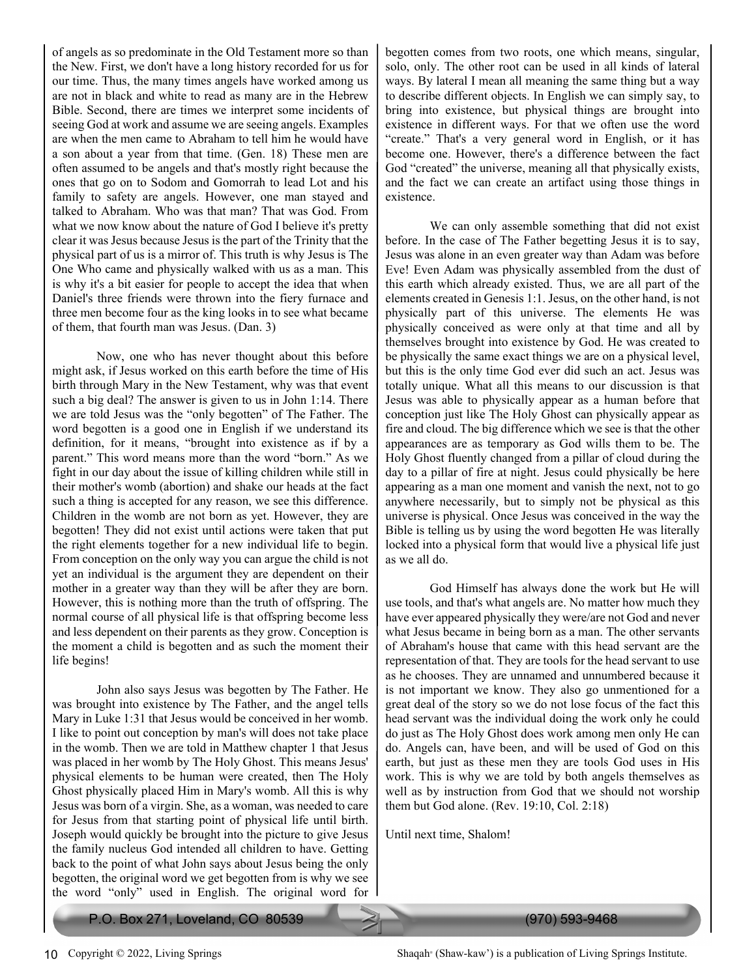of angels as so predominate in the Old Testament more so than the New. First, we don't have a long history recorded for us for our time. Thus, the many times angels have worked among us are not in black and white to read as many are in the Hebrew Bible. Second, there are times we interpret some incidents of seeing God at work and assume we are seeing angels. Examples are when the men came to Abraham to tell him he would have a son about a year from that time. (Gen. 18) These men are often assumed to be angels and that's mostly right because the ones that go on to Sodom and Gomorrah to lead Lot and his family to safety are angels. However, one man stayed and talked to Abraham. Who was that man? That was God. From what we now know about the nature of God I believe it's pretty clear it was Jesus because Jesus is the part of the Trinity that the physical part of us is a mirror of. This truth is why Jesus is The One Who came and physically walked with us as a man. This is why it's a bit easier for people to accept the idea that when Daniel's three friends were thrown into the fiery furnace and three men become four as the king looks in to see what became of them, that fourth man was Jesus. (Dan. 3)

 Now, one who has never thought about this before might ask, if Jesus worked on this earth before the time of His birth through Mary in the New Testament, why was that event such a big deal? The answer is given to us in John 1:14. There we are told Jesus was the "only begotten" of The Father. The word begotten is a good one in English if we understand its definition, for it means, "brought into existence as if by a parent." This word means more than the word "born." As we fight in our day about the issue of killing children while still in their mother's womb (abortion) and shake our heads at the fact such a thing is accepted for any reason, we see this difference. Children in the womb are not born as yet. However, they are begotten! They did not exist until actions were taken that put the right elements together for a new individual life to begin. From conception on the only way you can argue the child is not yet an individual is the argument they are dependent on their mother in a greater way than they will be after they are born. However, this is nothing more than the truth of offspring. The normal course of all physical life is that offspring become less and less dependent on their parents as they grow. Conception is the moment a child is begotten and as such the moment their life begins!

 John also says Jesus was begotten by The Father. He was brought into existence by The Father, and the angel tells Mary in Luke 1:31 that Jesus would be conceived in her womb. I like to point out conception by man's will does not take place in the womb. Then we are told in Matthew chapter 1 that Jesus was placed in her womb by The Holy Ghost. This means Jesus' physical elements to be human were created, then The Holy Ghost physically placed Him in Mary's womb. All this is why Jesus was born of a virgin. She, as a woman, was needed to care for Jesus from that starting point of physical life until birth. Joseph would quickly be brought into the picture to give Jesus the family nucleus God intended all children to have. Getting back to the point of what John says about Jesus being the only begotten, the original word we get begotten from is why we see the word "only" used in English. The original word for

begotten comes from two roots, one which means, singular, solo, only. The other root can be used in all kinds of lateral ways. By lateral I mean all meaning the same thing but a way to describe different objects. In English we can simply say, to bring into existence, but physical things are brought into existence in different ways. For that we often use the word "create." That's a very general word in English, or it has become one. However, there's a difference between the fact God "created" the universe, meaning all that physically exists, and the fact we can create an artifact using those things in existence.

 We can only assemble something that did not exist before. In the case of The Father begetting Jesus it is to say, Jesus was alone in an even greater way than Adam was before Eve! Even Adam was physically assembled from the dust of this earth which already existed. Thus, we are all part of the elements created in Genesis 1:1. Jesus, on the other hand, is not physically part of this universe. The elements He was physically conceived as were only at that time and all by themselves brought into existence by God. He was created to be physically the same exact things we are on a physical level, but this is the only time God ever did such an act. Jesus was totally unique. What all this means to our discussion is that Jesus was able to physically appear as a human before that conception just like The Holy Ghost can physically appear as fire and cloud. The big difference which we see is that the other appearances are as temporary as God wills them to be. The Holy Ghost fluently changed from a pillar of cloud during the day to a pillar of fire at night. Jesus could physically be here appearing as a man one moment and vanish the next, not to go anywhere necessarily, but to simply not be physical as this universe is physical. Once Jesus was conceived in the way the Bible is telling us by using the word begotten He was literally locked into a physical form that would live a physical life just as we all do.

 God Himself has always done the work but He will use tools, and that's what angels are. No matter how much they have ever appeared physically they were/are not God and never what Jesus became in being born as a man. The other servants of Abraham's house that came with this head servant are the representation of that. They are tools for the head servant to use as he chooses. They are unnamed and unnumbered because it is not important we know. They also go unmentioned for a great deal of the story so we do not lose focus of the fact this head servant was the individual doing the work only he could do just as The Holy Ghost does work among men only He can do. Angels can, have been, and will be used of God on this earth, but just as these men they are tools God uses in His work. This is why we are told by both angels themselves as well as by instruction from God that we should not worship them but God alone. (Rev. 19:10, Col. 2:18)

Until next time, Shalom!

Shaqah<sup>®</sup> (Shaw-kaw') is a publication of Living Springs Institute.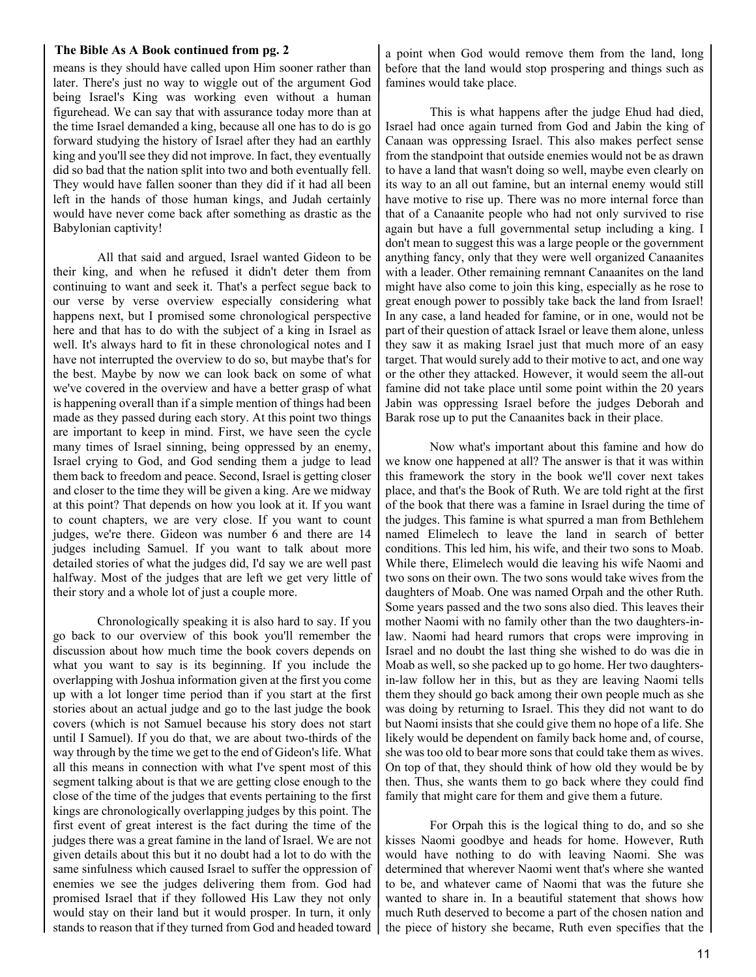#### **The Bible As A Book continued from pg. 2**

means is they should have called upon Him sooner rather than later. There's just no way to wiggle out of the argument God being Israel's King was working even without a human figurehead. We can say that with assurance today more than at the time Israel demanded a king, because all one has to do is go forward studying the history of Israel after they had an earthly king and you'll see they did not improve. In fact, they eventually did so bad that the nation split into two and both eventually fell. They would have fallen sooner than they did if it had all been left in the hands of those human kings, and Judah certainly would have never come back after something as drastic as the Babylonian captivity!

 All that said and argued, Israel wanted Gideon to be their king, and when he refused it didn't deter them from continuing to want and seek it. That's a perfect segue back to our verse by verse overview especially considering what happens next, but I promised some chronological perspective here and that has to do with the subject of a king in Israel as well. It's always hard to fit in these chronological notes and I have not interrupted the overview to do so, but maybe that's for the best. Maybe by now we can look back on some of what we've covered in the overview and have a better grasp of what is happening overall than if a simple mention of things had been made as they passed during each story. At this point two things are important to keep in mind. First, we have seen the cycle many times of Israel sinning, being oppressed by an enemy, Israel crying to God, and God sending them a judge to lead them back to freedom and peace. Second, Israel is getting closer and closer to the time they will be given a king. Are we midway at this point? That depends on how you look at it. If you want to count chapters, we are very close. If you want to count judges, we're there. Gideon was number 6 and there are 14 judges including Samuel. If you want to talk about more detailed stories of what the judges did, I'd say we are well past halfway. Most of the judges that are left we get very little of their story and a whole lot of just a couple more.

 Chronologically speaking it is also hard to say. If you go back to our overview of this book you'll remember the discussion about how much time the book covers depends on what you want to say is its beginning. If you include the overlapping with Joshua information given at the first you come up with a lot longer time period than if you start at the first stories about an actual judge and go to the last judge the book covers (which is not Samuel because his story does not start until I Samuel). If you do that, we are about two-thirds of the way through by the time we get to the end of Gideon's life. What all this means in connection with what I've spent most of this segment talking about is that we are getting close enough to the close of the time of the judges that events pertaining to the first kings are chronologically overlapping judges by this point. The first event of great interest is the fact during the time of the judges there was a great famine in the land of Israel. We are not given details about this but it no doubt had a lot to do with the same sinfulness which caused Israel to suffer the oppression of enemies we see the judges delivering them from. God had promised Israel that if they followed His Law they not only would stay on their land but it would prosper. In turn, it only stands to reason that if they turned from God and headed toward

a point when God would remove them from the land, long before that the land would stop prospering and things such as famines would take place.

 This is what happens after the judge Ehud had died, Israel had once again turned from God and Jabin the king of Canaan was oppressing Israel. This also makes perfect sense from the standpoint that outside enemies would not be as drawn to have a land that wasn't doing so well, maybe even clearly on its way to an all out famine, but an internal enemy would still have motive to rise up. There was no more internal force than that of a Canaanite people who had not only survived to rise again but have a full governmental setup including a king. I don't mean to suggest this was a large people or the government anything fancy, only that they were well organized Canaanites with a leader. Other remaining remnant Canaanites on the land might have also come to join this king, especially as he rose to great enough power to possibly take back the land from Israel! In any case, a land headed for famine, or in one, would not be part of their question of attack Israel or leave them alone, unless they saw it as making Israel just that much more of an easy target. That would surely add to their motive to act, and one way or the other they attacked. However, it would seem the all-out famine did not take place until some point within the 20 years Jabin was oppressing Israel before the judges Deborah and Barak rose up to put the Canaanites back in their place.

 Now what's important about this famine and how do we know one happened at all? The answer is that it was within this framework the story in the book we'll cover next takes place, and that's the Book of Ruth. We are told right at the first of the book that there was a famine in Israel during the time of the judges. This famine is what spurred a man from Bethlehem named Elimelech to leave the land in search of better conditions. This led him, his wife, and their two sons to Moab. While there, Elimelech would die leaving his wife Naomi and two sons on their own. The two sons would take wives from the daughters of Moab. One was named Orpah and the other Ruth. Some years passed and the two sons also died. This leaves their mother Naomi with no family other than the two daughters-inlaw. Naomi had heard rumors that crops were improving in Israel and no doubt the last thing she wished to do was die in Moab as well, so she packed up to go home. Her two daughtersin-law follow her in this, but as they are leaving Naomi tells them they should go back among their own people much as she was doing by returning to Israel. This they did not want to do but Naomi insists that she could give them no hope of a life. She likely would be dependent on family back home and, of course, she was too old to bear more sons that could take them as wives. On top of that, they should think of how old they would be by then. Thus, she wants them to go back where they could find family that might care for them and give them a future.

 For Orpah this is the logical thing to do, and so she kisses Naomi goodbye and heads for home. However, Ruth would have nothing to do with leaving Naomi. She was determined that wherever Naomi went that's where she wanted to be, and whatever came of Naomi that was the future she wanted to share in. In a beautiful statement that shows how much Ruth deserved to become a part of the chosen nation and the piece of history she became, Ruth even specifies that the